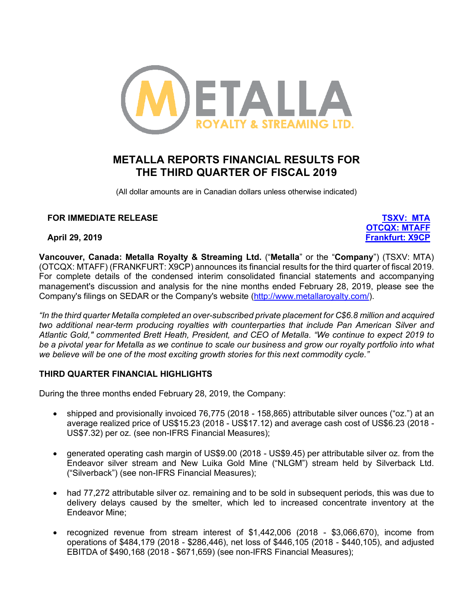

# **METALLA REPORTS FINANCIAL RESULTS FOR THE THIRD QUARTER OF FISCAL 2019**

(All dollar amounts are in Canadian dollars unless otherwise indicated)

### **FOR IMMEDIATE RELEASE TSXV: MTA**

**OTCQX: MTAFF April 29, 2019 Frankfurt: X9CP**

**Vancouver, Canada: Metalla Royalty & Streaming Ltd.** ("**Metalla**" or the "**Company**") (TSXV: MTA) (OTCQX: MTAFF) (FRANKFURT: X9CP) announces its financial results for the third quarter of fiscal 2019. For complete details of the condensed interim consolidated financial statements and accompanying management's discussion and analysis for the nine months ended February 28, 2019, please see the Company's filings on SEDAR or the Company's website (http://www.metallaroyalty.com/).

*"In the third quarter Metalla completed an over-subscribed private placement for C\$6.8 million and acquired two additional near-term producing royalties with counterparties that include Pan American Silver and Atlantic Gold," commented Brett Heath, President, and CEO of Metalla. "We continue to expect 2019 to be a pivotal year for Metalla as we continue to scale our business and grow our royalty portfolio into what we believe will be one of the most exciting growth stories for this next commodity cycle."* 

### **THIRD QUARTER FINANCIAL HIGHLIGHTS**

During the three months ended February 28, 2019, the Company:

- shipped and provisionally invoiced 76,775 (2018 158,865) attributable silver ounces ("oz.") at an average realized price of US\$15.23 (2018 - US\$17.12) and average cash cost of US\$6.23 (2018 - US\$7.32) per oz. (see non-IFRS Financial Measures);
- generated operating cash margin of US\$9.00 (2018 US\$9.45) per attributable silver oz. from the Endeavor silver stream and New Luika Gold Mine ("NLGM") stream held by Silverback Ltd. ("Silverback") (see non-IFRS Financial Measures);
- had 77,272 attributable silver oz. remaining and to be sold in subsequent periods, this was due to delivery delays caused by the smelter, which led to increased concentrate inventory at the Endeavor Mine;
- recognized revenue from stream interest of \$1,442,006 (2018 \$3,066,670), income from operations of \$484,179 (2018 - \$286,446), net loss of \$446,105 (2018 - \$440,105), and adjusted EBITDA of \$490,168 (2018 - \$671,659) (see non-IFRS Financial Measures);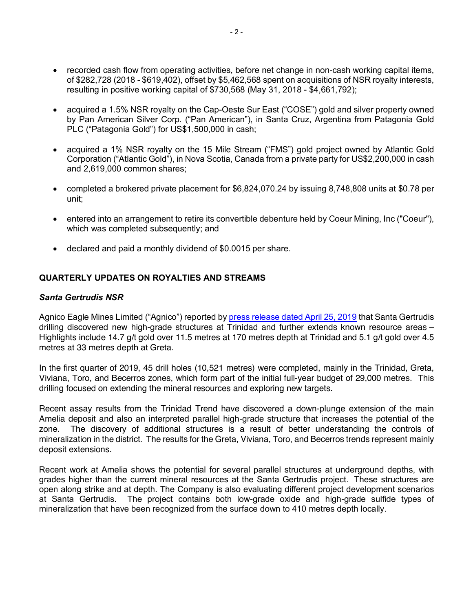- recorded cash flow from operating activities, before net change in non-cash working capital items, of \$282,728 (2018 - \$619,402), offset by \$5,462,568 spent on acquisitions of NSR royalty interests, resulting in positive working capital of \$730,568 (May 31, 2018 - \$4,661,792);
- acquired a 1.5% NSR royalty on the Cap-Oeste Sur East ("COSE") gold and silver property owned by Pan American Silver Corp. ("Pan American"), in Santa Cruz, Argentina from Patagonia Gold PLC ("Patagonia Gold") for US\$1,500,000 in cash;
- acquired a 1% NSR royalty on the 15 Mile Stream ("FMS") gold project owned by Atlantic Gold Corporation ("Atlantic Gold"), in Nova Scotia, Canada from a private party for US\$2,200,000 in cash and 2,619,000 common shares;
- completed a brokered private placement for \$6,824,070.24 by issuing 8,748,808 units at \$0.78 per unit;
- entered into an arrangement to retire its convertible debenture held by Coeur Mining, Inc ("Coeur"), which was completed subsequently; and
- declared and paid a monthly dividend of \$0.0015 per share.

### **QUARTERLY UPDATES ON ROYALTIES AND STREAMS**

#### *Santa Gertrudis NSR*

Agnico Eagle Mines Limited ("Agnico") reported by press release dated April 25, 2019 that Santa Gertrudis drilling discovered new high-grade structures at Trinidad and further extends known resource areas – Highlights include 14.7 g/t gold over 11.5 metres at 170 metres depth at Trinidad and 5.1 g/t gold over 4.5 metres at 33 metres depth at Greta.

In the first quarter of 2019, 45 drill holes (10,521 metres) were completed, mainly in the Trinidad, Greta, Viviana, Toro, and Becerros zones, which form part of the initial full-year budget of 29,000 metres. This drilling focused on extending the mineral resources and exploring new targets.

Recent assay results from the Trinidad Trend have discovered a down-plunge extension of the main Amelia deposit and also an interpreted parallel high-grade structure that increases the potential of the zone. The discovery of additional structures is a result of better understanding the controls of mineralization in the district. The results for the Greta, Viviana, Toro, and Becerros trends represent mainly deposit extensions.

Recent work at Amelia shows the potential for several parallel structures at underground depths, with grades higher than the current mineral resources at the Santa Gertrudis project. These structures are open along strike and at depth. The Company is also evaluating different project development scenarios at Santa Gertrudis. The project contains both low-grade oxide and high-grade sulfide types of mineralization that have been recognized from the surface down to 410 metres depth locally.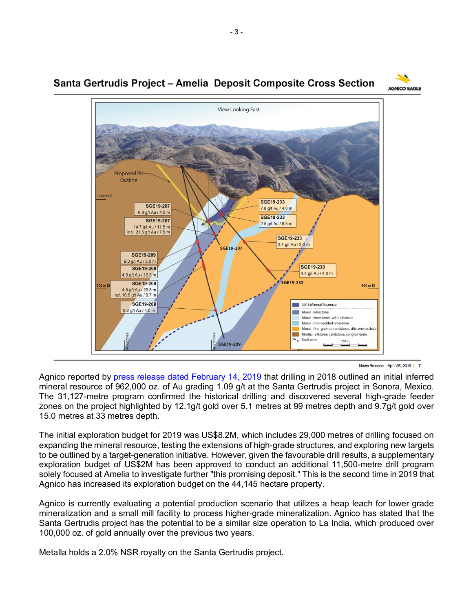

**SGE19-233** 

SGF19-233

7.8 g/t Au / 4.0 m

2.5 g/t Au / 8.5 m

**SGE19-233** 2.7 g/t Au / 3.0 m

SGE19-233

SGE19-233

4.4 g/t Au / 4.0 m

2018 Mineral Resource

Mural - limestones with siltstone Mural - thin-bedded limestone Mural - fine-grained sandstone, siltstone to shale Morita - siltstone, sandstone, conglomerate

150 m

Mural - limestone

 $\overline{\phantom{a}}$  Fault zone

## Santa Gertrudis Project – Amelia Deposit Composite Cross Section

**Proposed Pit** Outline

**SGE19-207** 

**SGE19-207** 

6.9 g/t Au / 4.0 m

14.7 g/t Au / 11.5 m ncl. 21.5 g/t Au / 7.5 m

SGE19-209 8.0 g/t Au / 3.0 m

**SGE19-209** 

4.0 g/t Au / 12.5 m SGE19-209

4.9 g/t Au / 26.8 m incl. 10.9 g/t Au / 6.7 m SGE19-209

8.2 g/t Au / 4.0 m

1200 m El

900 m E



900 m El

Agnico reported by press release dated February 14, 2019 that drilling in 2018 outlined an initial inferred mineral resource of 962,000 oz. of Au grading 1.09 g/t at the Santa Gertrudis project in Sonora, Mexico. The 31,127-metre program confirmed the historical drilling and discovered several high-grade feeder zones on the project highlighted by 12.1g/t gold over 5.1 metres at 99 metres depth and 9.7g/t gold over 15.0 metres at 33 metres depth.

 $\frac{1}{2}$ 

SGE19-209

SGE19-207

The initial exploration budget for 2019 was US\$8.2M, which includes 29,000 metres of drilling focused on expanding the mineral resource, testing the extensions of high-grade structures, and exploring new targets to be outlined by a target-generation initiative. However, given the favourable drill results, a supplementary exploration budget of US\$2M has been approved to conduct an additional 11,500-metre drill program solely focused at Amelia to investigate further "this promising deposit." This is the second time in 2019 that Agnico has increased its exploration budget on the 44,145 hectare property.

Agnico is currently evaluating a potential production scenario that utilizes a heap leach for lower grade mineralization and a small mill facility to process higher-grade mineralization. Agnico has stated that the Santa Gertrudis project has the potential to be a similar size operation to La India, which produced over 100,000 oz. of gold annually over the previous two years.

Metalla holds a 2.0% NSR royalty on the Santa Gertrudis project.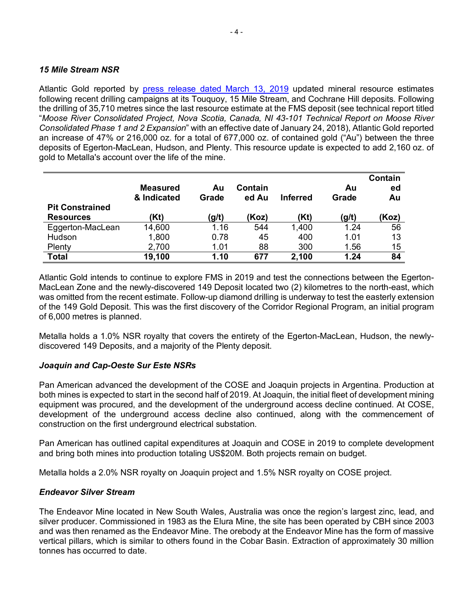#### *15 Mile Stream NSR*

Atlantic Gold reported by press release dated March 13, 2019 updated mineral resource estimates following recent drilling campaigns at its Touquoy, 15 Mile Stream, and Cochrane Hill deposits. Following the drilling of 35,710 metres since the last resource estimate at the FMS deposit (see technical report titled "*Moose River Consolidated Project, Nova Scotia, Canada, NI 43-101 Technical Report on Moose River Consolidated Phase 1 and 2 Expansion*" with an effective date of January 24, 2018), Atlantic Gold reported an increase of 47% or 216,000 oz. for a total of 677,000 oz. of contained gold ("Au") between the three deposits of Egerton-MacLean, Hudson, and Plenty. This resource update is expected to add 2,160 oz. of gold to Metalla's account over the life of the mine.

|                        | <b>Measured</b><br>& Indicated | Au<br>Grade | Contain<br>ed Au | <b>Inferred</b> | Au<br>Grade | Contain<br>ed<br>Au |
|------------------------|--------------------------------|-------------|------------------|-----------------|-------------|---------------------|
| <b>Pit Constrained</b> |                                |             |                  |                 |             |                     |
| <b>Resources</b>       | (Kt)                           | (g/t)       | (Koz)            | (Kt)            | (g/t)       | (Koz)               |
| Eggerton-MacLean       | 14,600                         | 1.16        | 544              | 1,400           | 1.24        | 56                  |
| Hudson                 | 1,800                          | 0.78        | 45               | 400             | 1.01        | 13                  |
| Plenty                 | 2,700                          | 1.01        | 88               | 300             | 1.56        | 15                  |
| <b>Total</b>           | 19,100                         | 1.10        | 677              | 2,100           | 1.24        | 84                  |

Atlantic Gold intends to continue to explore FMS in 2019 and test the connections between the Egerton-MacLean Zone and the newly-discovered 149 Deposit located two (2) kilometres to the north-east, which was omitted from the recent estimate. Follow-up diamond drilling is underway to test the easterly extension of the 149 Gold Deposit. This was the first discovery of the Corridor Regional Program, an initial program of 6,000 metres is planned.

Metalla holds a 1.0% NSR royalty that covers the entirety of the Egerton-MacLean, Hudson, the newlydiscovered 149 Deposits, and a majority of the Plenty deposit.

### *Joaquin and Cap-Oeste Sur Este NSRs*

Pan American advanced the development of the COSE and Joaquin projects in Argentina. Production at both mines is expected to start in the second half of 2019. At Joaquin, the initial fleet of development mining equipment was procured, and the development of the underground access decline continued. At COSE, development of the underground access decline also continued, along with the commencement of construction on the first underground electrical substation.

Pan American has outlined capital expenditures at Joaquin and COSE in 2019 to complete development and bring both mines into production totaling US\$20M. Both projects remain on budget.

Metalla holds a 2.0% NSR royalty on Joaquin project and 1.5% NSR royalty on COSE project.

#### *Endeavor Silver Stream*

The Endeavor Mine located in New South Wales, Australia was once the region's largest zinc, lead, and silver producer. Commissioned in 1983 as the Elura Mine, the site has been operated by CBH since 2003 and was then renamed as the Endeavor Mine. The orebody at the Endeavor Mine has the form of massive vertical pillars, which is similar to others found in the Cobar Basin. Extraction of approximately 30 million tonnes has occurred to date.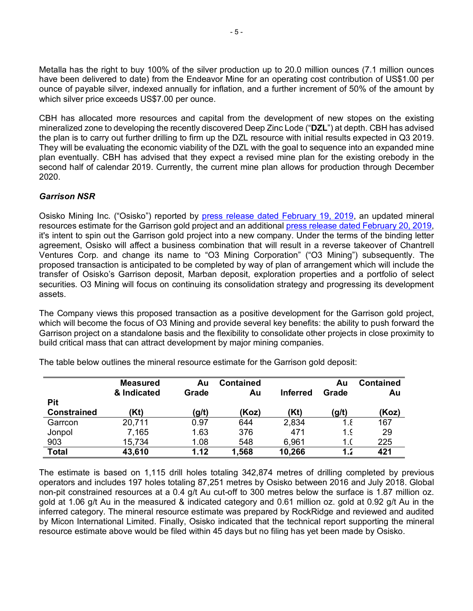Metalla has the right to buy 100% of the silver production up to 20.0 million ounces (7.1 million ounces have been delivered to date) from the Endeavor Mine for an operating cost contribution of US\$1.00 per ounce of payable silver, indexed annually for inflation, and a further increment of 50% of the amount by which silver price exceeds US\$7.00 per ounce.

CBH has allocated more resources and capital from the development of new stopes on the existing mineralized zone to developing the recently discovered Deep Zinc Lode ("**DZL**") at depth. CBH has advised the plan is to carry out further drilling to firm up the DZL resource with initial results expected in Q3 2019. They will be evaluating the economic viability of the DZL with the goal to sequence into an expanded mine plan eventually. CBH has advised that they expect a revised mine plan for the existing orebody in the second half of calendar 2019. Currently, the current mine plan allows for production through December 2020.

### *Garrison NSR*

Osisko Mining Inc. ("Osisko") reported by press release dated February 19, 2019, an updated mineral resources estimate for the Garrison gold project and an additional press release dated February 20, 2019, it's intent to spin out the Garrison gold project into a new company. Under the terms of the binding letter agreement, Osisko will affect a business combination that will result in a reverse takeover of Chantrell Ventures Corp. and change its name to "O3 Mining Corporation" ("O3 Mining") subsequently. The proposed transaction is anticipated to be completed by way of plan of arrangement which will include the transfer of Osisko's Garrison deposit, Marban deposit, exploration properties and a portfolio of select securities. O3 Mining will focus on continuing its consolidation strategy and progressing its development assets.

The Company views this proposed transaction as a positive development for the Garrison gold project, which will become the focus of O3 Mining and provide several key benefits: the ability to push forward the Garrison project on a standalone basis and the flexibility to consolidate other projects in close proximity to build critical mass that can attract development by major mining companies.

|                    | <b>Measured</b><br>& Indicated | Au<br>Grade | <b>Contained</b><br>Au | <b>Inferred</b> | Au<br>Grade | <b>Contained</b><br>Au |
|--------------------|--------------------------------|-------------|------------------------|-----------------|-------------|------------------------|
| <b>Pit</b>         |                                |             |                        |                 |             |                        |
| <b>Constrained</b> | (Kt)                           | (g/t)       | (Koz)                  | (Kt)            | (g/t)       | (Koz)                  |
| Garrcon            | 20,711                         | 0.97        | 644                    | 2,834           | 1.8         | 167                    |
| Jonpol             | 7,165                          | 1.63        | 376                    | 471             | 1.5         | 29                     |
| 903                | 15,734                         | 1.08        | 548                    | 6,961           | 1.(         | 225                    |
| <b>Total</b>       | 43,610                         | 1.12        | 1,568                  | 10,266          | 1.          | 421                    |

The table below outlines the mineral resource estimate for the Garrison gold deposit:

The estimate is based on 1,115 drill holes totaling 342,874 metres of drilling completed by previous operators and includes 197 holes totaling 87,251 metres by Osisko between 2016 and July 2018. Global non-pit constrained resources at a 0.4 g/t Au cut-off to 300 metres below the surface is 1.87 million oz. gold at 1.06 g/t Au in the measured & indicated category and 0.61 million oz. gold at 0.92 g/t Au in the inferred category. The mineral resource estimate was prepared by RockRidge and reviewed and audited by Micon International Limited. Finally, Osisko indicated that the technical report supporting the mineral resource estimate above would be filed within 45 days but no filing has yet been made by Osisko.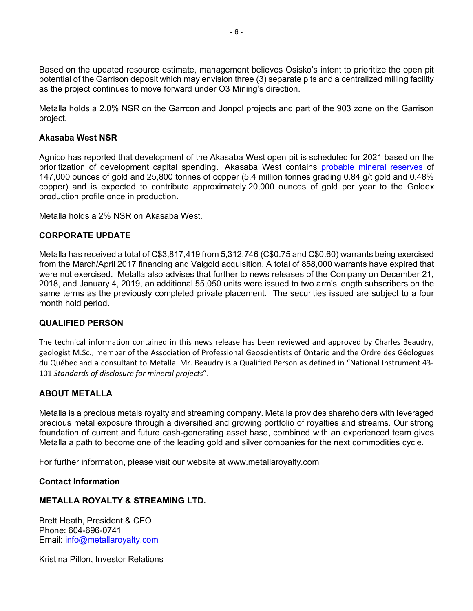Based on the updated resource estimate, management believes Osisko's intent to prioritize the open pit potential of the Garrison deposit which may envision three (3) separate pits and a centralized milling facility as the project continues to move forward under O3 Mining's direction.

Metalla holds a 2.0% NSR on the Garrcon and Jonpol projects and part of the 903 zone on the Garrison project.

#### **Akasaba West NSR**

Agnico has reported that development of the Akasaba West open pit is scheduled for 2021 based on the prioritization of development capital spending. Akasaba West contains probable mineral reserves of 147,000 ounces of gold and 25,800 tonnes of copper (5.4 million tonnes grading 0.84 g/t gold and 0.48% copper) and is expected to contribute approximately 20,000 ounces of gold per year to the Goldex production profile once in production.

Metalla holds a 2% NSR on Akasaba West.

#### **CORPORATE UPDATE**

Metalla has received a total of C\$3,817,419 from 5,312,746 (C\$0.75 and C\$0.60) warrants being exercised from the March/April 2017 financing and Valgold acquisition. A total of 858,000 warrants have expired that were not exercised. Metalla also advises that further to news releases of the Company on December 21, 2018, and January 4, 2019, an additional 55,050 units were issued to two arm's length subscribers on the same terms as the previously completed private placement. The securities issued are subject to a four month hold period.

### **QUALIFIED PERSON**

The technical information contained in this news release has been reviewed and approved by Charles Beaudry, geologist M.Sc., member of the Association of Professional Geoscientists of Ontario and the Ordre des Géologues du Québec and a consultant to Metalla. Mr. Beaudry is a Qualified Person as defined in "National Instrument 43- 101 *Standards of disclosure for mineral projects*".

### **ABOUT METALLA**

Metalla is a precious metals royalty and streaming company. Metalla provides shareholders with leveraged precious metal exposure through a diversified and growing portfolio of royalties and streams. Our strong foundation of current and future cash-generating asset base, combined with an experienced team gives Metalla a path to become one of the leading gold and silver companies for the next commodities cycle.

For further information, please visit our website at www.metallaroyalty.com

**Contact Information**

### **METALLA ROYALTY & STREAMING LTD.**

Brett Heath, President & CEO Phone: 604-696-0741 Email: info@metallaroyalty.com

Kristina Pillon, Investor Relations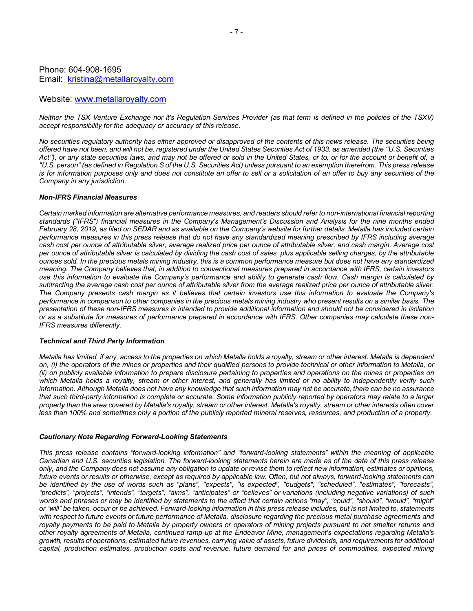#### Phone: 604-908-1695 Email: kristina@metallaroyalty.com

#### Website: www.metallaroyalty.com

*Neither the TSX Venture Exchange nor it's Regulation Services Provider (as that term is defined in the policies of the TSXV) accept responsibility for the adequacy or accuracy of this release.*

*No securities regulatory authority has either approved or disapproved of the contents of this news release. The securities being offered have not been, and will not be, registered under the United States Securities Act of 1933, as amended (the ''U.S. Securities Act''), or any state securities laws, and may not be offered or sold in the United States, or to, or for the account or benefit of, a "U.S. person" (as defined in Regulation S of the U.S. Securities Act) unless pursuant to an exemption therefrom. This press release is for information purposes only and does not constitute an offer to sell or a solicitation of an offer to buy any securities of the Company in any jurisdiction.*

#### *Non-IFRS Financial Measures*

*Certain marked information are alternative performance measures, and readers should refer to non-international financial reporting standards ("IFRS") financial measures in the Company's Management's Discussion and Analysis for the nine months ended February 28, 2019, as filed on SEDAR and as available on the Company's website for further details. Metalla has included certain performance measures in this press release that do not have any standardized meaning prescribed by IFRS including average cash cost per ounce of attributable silver, average realized price per ounce of attributable silver, and cash margin. Average cost per ounce of attributable silver is calculated by dividing the cash cost of sales, plus applicable selling charges, by the attributable ounces sold. In the precious metals mining industry, this is a common performance measure but does not have any standardized meaning. The Company believes that, in addition to conventional measures prepared in accordance with IFRS, certain investors use this information to evaluate the Company's performance and ability to generate cash flow. Cash margin is calculated by subtracting the average cash cost per ounce of attributable silver from the average realized price per ounce of attributable silver. The Company presents cash margin as it believes that certain investors use this information to evaluate the Company's performance in comparison to other companies in the precious metals mining industry who present results on a similar basis. The presentation of these non-IFRS measures is intended to provide additional information and should not be considered in isolation or as a substitute for measures of performance prepared in accordance with IFRS. Other companies may calculate these non-IFRS measures differently.*

#### *Technical and Third Party Information*

*Metalla has limited, if any, access to the properties on which Metalla holds a royalty, stream or other interest. Metalla is dependent on, (i) the operators of the mines or properties and their qualified persons to provide technical or other information to Metalla, or (ii) on publicly available information to prepare disclosure pertaining to properties and operations on the mines or properties on which Metalla holds a royalty, stream or other interest, and generally has limited or no ability to independently verify such information. Although Metalla does not have any knowledge that such information may not be accurate, there can be no assurance that such third-party information is complete or accurate. Some information publicly reported by operators may relate to a larger property than the area covered by Metalla's royalty, stream or other interest. Metalla's royalty, stream or other interests often cover less than 100% and sometimes only a portion of the publicly reported mineral reserves, resources, and production of a property.*

#### *Cautionary Note Regarding Forward-Looking Statements*

*This press release contains "forward-looking information" and "forward-looking statements" within the meaning of applicable Canadian and U.S. securities legislation. The forward-looking statements herein are made as of the date of this press release only, and the Company does not assume any obligation to update or revise them to reflect new information, estimates or opinions, future events or results or otherwise, except as required by applicable law. Often, but not always, forward-looking statements can be identified by the use of words such as "plans", "expects", "is expected", "budgets", "scheduled", "estimates", "forecasts", "predicts", "projects", "intends", "targets", "aims", "anticipates" or "believes" or variations (including negative variations) of such words and phrases or may be identified by statements to the effect that certain actions "may", "could", "should", "would", "might" or "will" be taken, occur or be achieved. Forward-looking information in this press release includes, but is not limited to, statements with respect to future events or future performance of Metalla, disclosure regarding the precious metal purchase agreements and royalty payments to be paid to Metalla by property owners or operators of mining projects pursuant to net smelter returns and other royalty agreements of Metalla, continued ramp-up at the Endeavor Mine, management's expectations regarding Metalla's growth, results of operations, estimated future revenues, carrying value of assets, future dividends, and requirements for additional capital, production estimates, production costs and revenue, future demand for and prices of commodities, expected mining*